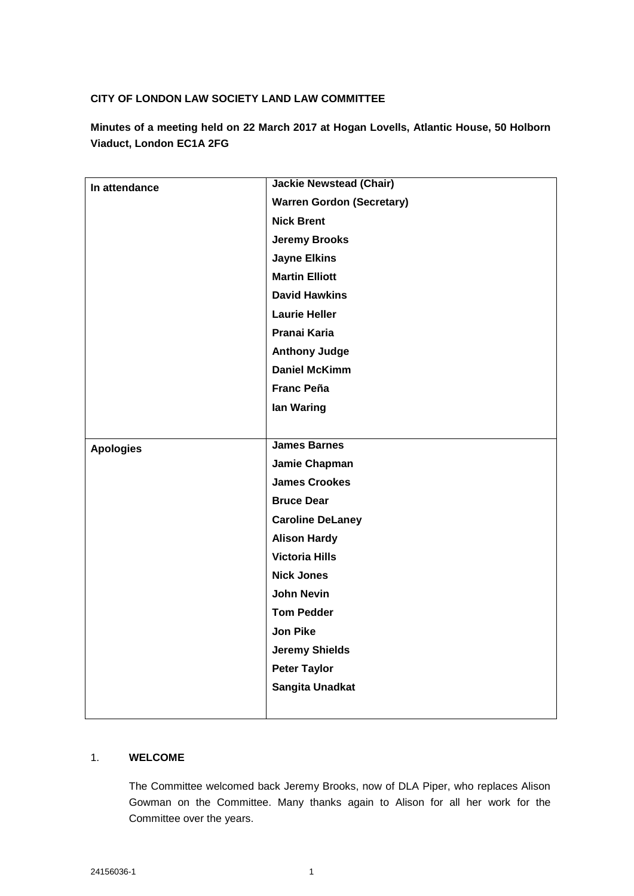# **CITY OF LONDON LAW SOCIETY LAND LAW COMMITTEE**

**Minutes of a meeting held on 22 March 2017 at Hogan Lovells, Atlantic House, 50 Holborn Viaduct, London EC1A 2FG**

| In attendance    | <b>Jackie Newstead (Chair)</b>   |
|------------------|----------------------------------|
|                  | <b>Warren Gordon (Secretary)</b> |
|                  | <b>Nick Brent</b>                |
|                  | <b>Jeremy Brooks</b>             |
|                  | <b>Jayne Elkins</b>              |
|                  | <b>Martin Elliott</b>            |
|                  | <b>David Hawkins</b>             |
|                  | <b>Laurie Heller</b>             |
|                  | Pranai Karia                     |
|                  | <b>Anthony Judge</b>             |
|                  | <b>Daniel McKimm</b>             |
|                  | <b>Franc Peña</b>                |
|                  | lan Waring                       |
|                  |                                  |
| <b>Apologies</b> | <b>James Barnes</b>              |
|                  | Jamie Chapman                    |
|                  | <b>James Crookes</b>             |
|                  | <b>Bruce Dear</b>                |
|                  | <b>Caroline DeLaney</b>          |
|                  | <b>Alison Hardy</b>              |
|                  | <b>Victoria Hills</b>            |
|                  | <b>Nick Jones</b>                |
|                  | <b>John Nevin</b>                |
|                  | <b>Tom Pedder</b>                |
|                  | <b>Jon Pike</b>                  |
|                  | <b>Jeremy Shields</b>            |
|                  | <b>Peter Taylor</b>              |
|                  | Sangita Unadkat                  |
|                  |                                  |

## 1. **WELCOME**

The Committee welcomed back Jeremy Brooks, now of DLA Piper, who replaces Alison Gowman on the Committee. Many thanks again to Alison for all her work for the Committee over the years.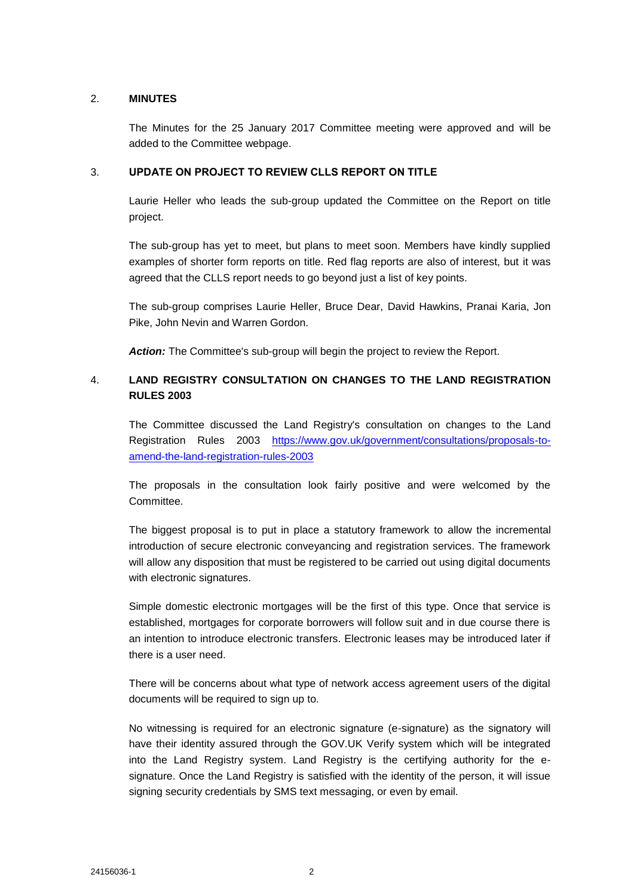### 2. **MINUTES**

The Minutes for the 25 January 2017 Committee meeting were approved and will be added to the Committee webpage.

#### 3. **UPDATE ON PROJECT TO REVIEW CLLS REPORT ON TITLE**

Laurie Heller who leads the sub-group updated the Committee on the Report on title project.

The sub-group has yet to meet, but plans to meet soon. Members have kindly supplied examples of shorter form reports on title. Red flag reports are also of interest, but it was agreed that the CLLS report needs to go beyond just a list of key points.

The sub-group comprises Laurie Heller, Bruce Dear, David Hawkins, Pranai Karia, Jon Pike, John Nevin and Warren Gordon.

*Action:* The Committee's sub-group will begin the project to review the Report.

# 4. **LAND REGISTRY CONSULTATION ON CHANGES TO THE LAND REGISTRATION RULES 2003**

The Committee discussed the Land Registry's consultation on changes to the Land Registration Rules 2003 [https://www.gov.uk/government/consultations/proposals-to](https://www.gov.uk/government/consultations/proposals-to-amend-the-land-registration-rules-2003)[amend-the-land-registration-rules-2003](https://www.gov.uk/government/consultations/proposals-to-amend-the-land-registration-rules-2003)

The proposals in the consultation look fairly positive and were welcomed by the Committee.

The biggest proposal is to put in place a statutory framework to allow the incremental introduction of secure electronic conveyancing and registration services. The framework will allow any disposition that must be registered to be carried out using digital documents with electronic signatures.

Simple domestic electronic mortgages will be the first of this type. Once that service is established, mortgages for corporate borrowers will follow suit and in due course there is an intention to introduce electronic transfers. Electronic leases may be introduced later if there is a user need.

There will be concerns about what type of network access agreement users of the digital documents will be required to sign up to.

No witnessing is required for an electronic signature (e-signature) as the signatory will have their identity assured through the GOV.UK Verify system which will be integrated into the Land Registry system. Land Registry is the certifying authority for the esignature. Once the Land Registry is satisfied with the identity of the person, it will issue signing security credentials by SMS text messaging, or even by email.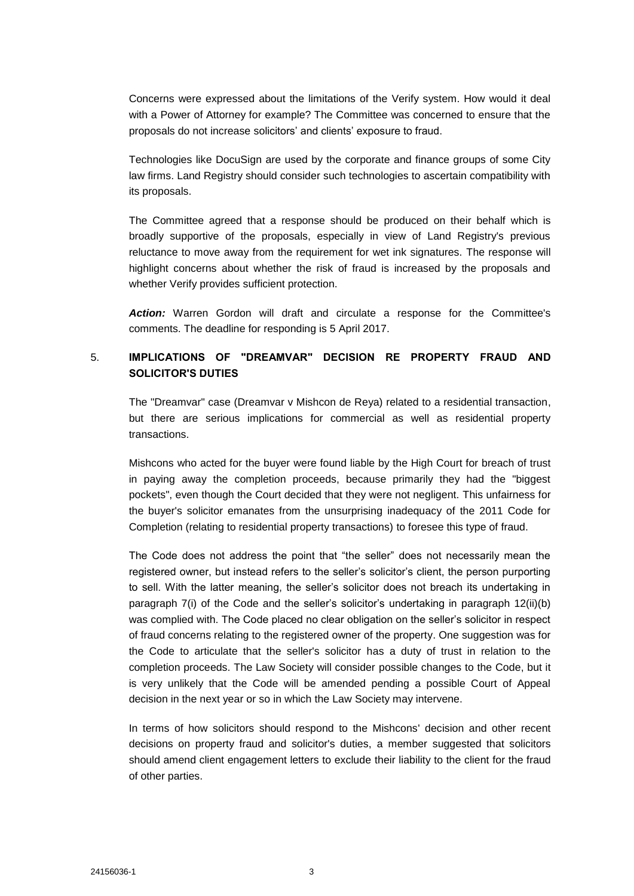Concerns were expressed about the limitations of the Verify system. How would it deal with a Power of Attorney for example? The Committee was concerned to ensure that the proposals do not increase solicitors' and clients' exposure to fraud.

Technologies like DocuSign are used by the corporate and finance groups of some City law firms. Land Registry should consider such technologies to ascertain compatibility with its proposals.

The Committee agreed that a response should be produced on their behalf which is broadly supportive of the proposals, especially in view of Land Registry's previous reluctance to move away from the requirement for wet ink signatures. The response will highlight concerns about whether the risk of fraud is increased by the proposals and whether Verify provides sufficient protection.

*Action:* Warren Gordon will draft and circulate a response for the Committee's comments. The deadline for responding is 5 April 2017.

# 5. **IMPLICATIONS OF "DREAMVAR" DECISION RE PROPERTY FRAUD AND SOLICITOR'S DUTIES**

The "Dreamvar" case (Dreamvar v Mishcon de Reya) related to a residential transaction, but there are serious implications for commercial as well as residential property transactions.

Mishcons who acted for the buyer were found liable by the High Court for breach of trust in paying away the completion proceeds, because primarily they had the "biggest pockets", even though the Court decided that they were not negligent. This unfairness for the buyer's solicitor emanates from the unsurprising inadequacy of the 2011 Code for Completion (relating to residential property transactions) to foresee this type of fraud.

The Code does not address the point that "the seller" does not necessarily mean the registered owner, but instead refers to the seller's solicitor's client, the person purporting to sell. With the latter meaning, the seller's solicitor does not breach its undertaking in paragraph 7(i) of the Code and the seller's solicitor's undertaking in paragraph 12(ii)(b) was complied with. The Code placed no clear obligation on the seller's solicitor in respect of fraud concerns relating to the registered owner of the property. One suggestion was for the Code to articulate that the seller's solicitor has a duty of trust in relation to the completion proceeds. The Law Society will consider possible changes to the Code, but it is very unlikely that the Code will be amended pending a possible Court of Appeal decision in the next year or so in which the Law Society may intervene.

In terms of how solicitors should respond to the Mishcons' decision and other recent decisions on property fraud and solicitor's duties, a member suggested that solicitors should amend client engagement letters to exclude their liability to the client for the fraud of other parties.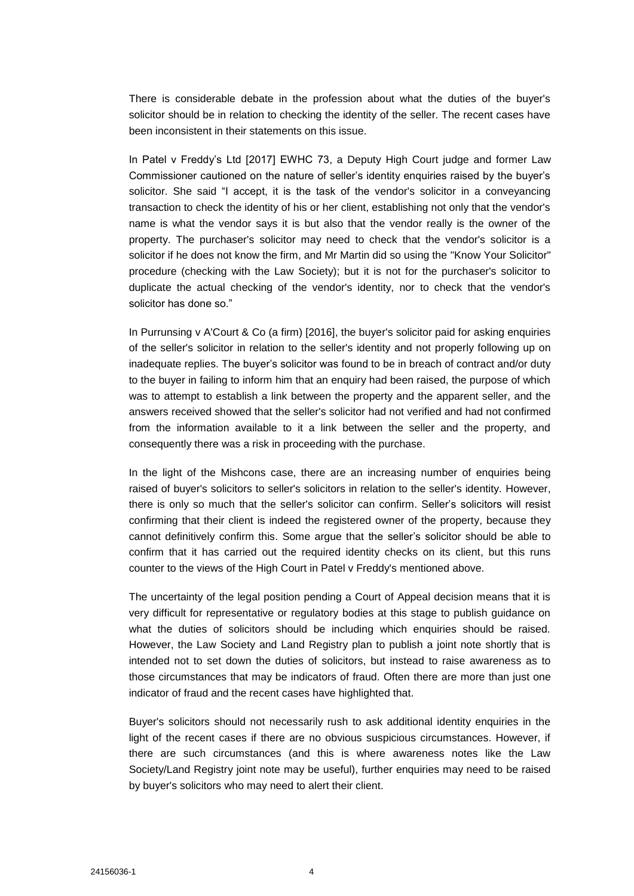There is considerable debate in the profession about what the duties of the buyer's solicitor should be in relation to checking the identity of the seller. The recent cases have been inconsistent in their statements on this issue.

In Patel v Freddy's Ltd [2017] EWHC 73, a Deputy High Court judge and former Law Commissioner cautioned on the nature of seller's identity enquiries raised by the buyer's solicitor. She said "I accept, it is the task of the vendor's solicitor in a conveyancing transaction to check the identity of his or her client, establishing not only that the vendor's name is what the vendor says it is but also that the vendor really is the owner of the property. The purchaser's solicitor may need to check that the vendor's solicitor is a solicitor if he does not know the firm, and Mr Martin did so using the "Know Your Solicitor" procedure (checking with the Law Society); but it is not for the purchaser's solicitor to duplicate the actual checking of the vendor's identity, nor to check that the vendor's solicitor has done so."

In Purrunsing v A'Court & Co (a firm) [2016], the buyer's solicitor paid for asking enquiries of the seller's solicitor in relation to the seller's identity and not properly following up on inadequate replies. The buyer's solicitor was found to be in breach of contract and/or duty to the buyer in failing to inform him that an enquiry had been raised, the purpose of which was to attempt to establish a link between the property and the apparent seller, and the answers received showed that the seller's solicitor had not verified and had not confirmed from the information available to it a link between the seller and the property, and consequently there was a risk in proceeding with the purchase.

In the light of the Mishcons case, there are an increasing number of enquiries being raised of buyer's solicitors to seller's solicitors in relation to the seller's identity. However, there is only so much that the seller's solicitor can confirm. Seller's solicitors will resist confirming that their client is indeed the registered owner of the property, because they cannot definitively confirm this. Some argue that the seller's solicitor should be able to confirm that it has carried out the required identity checks on its client, but this runs counter to the views of the High Court in Patel v Freddy's mentioned above.

The uncertainty of the legal position pending a Court of Appeal decision means that it is very difficult for representative or regulatory bodies at this stage to publish guidance on what the duties of solicitors should be including which enquiries should be raised. However, the Law Society and Land Registry plan to publish a joint note shortly that is intended not to set down the duties of solicitors, but instead to raise awareness as to those circumstances that may be indicators of fraud. Often there are more than just one indicator of fraud and the recent cases have highlighted that.

Buyer's solicitors should not necessarily rush to ask additional identity enquiries in the light of the recent cases if there are no obvious suspicious circumstances. However, if there are such circumstances (and this is where awareness notes like the Law Society/Land Registry joint note may be useful), further enquiries may need to be raised by buyer's solicitors who may need to alert their client.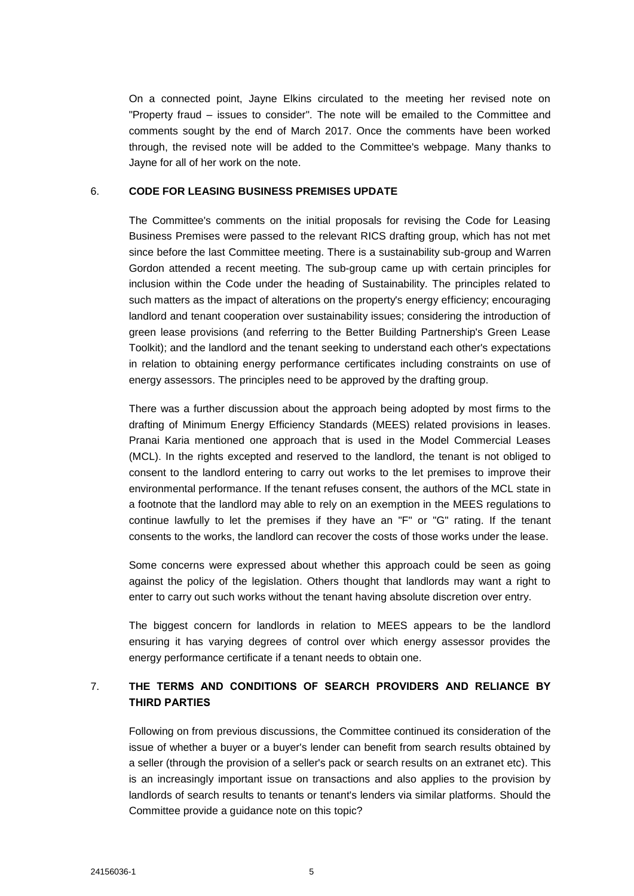On a connected point, Jayne Elkins circulated to the meeting her revised note on "Property fraud – issues to consider". The note will be emailed to the Committee and comments sought by the end of March 2017. Once the comments have been worked through, the revised note will be added to the Committee's webpage. Many thanks to Jayne for all of her work on the note.

#### 6. **CODE FOR LEASING BUSINESS PREMISES UPDATE**

The Committee's comments on the initial proposals for revising the Code for Leasing Business Premises were passed to the relevant RICS drafting group, which has not met since before the last Committee meeting. There is a sustainability sub-group and Warren Gordon attended a recent meeting. The sub-group came up with certain principles for inclusion within the Code under the heading of Sustainability. The principles related to such matters as the impact of alterations on the property's energy efficiency; encouraging landlord and tenant cooperation over sustainability issues; considering the introduction of green lease provisions (and referring to the Better Building Partnership's Green Lease Toolkit); and the landlord and the tenant seeking to understand each other's expectations in relation to obtaining energy performance certificates including constraints on use of energy assessors. The principles need to be approved by the drafting group.

There was a further discussion about the approach being adopted by most firms to the drafting of Minimum Energy Efficiency Standards (MEES) related provisions in leases. Pranai Karia mentioned one approach that is used in the Model Commercial Leases (MCL). In the rights excepted and reserved to the landlord, the tenant is not obliged to consent to the landlord entering to carry out works to the let premises to improve their environmental performance. If the tenant refuses consent, the authors of the MCL state in a footnote that the landlord may able to rely on an exemption in the MEES regulations to continue lawfully to let the premises if they have an "F" or "G" rating. If the tenant consents to the works, the landlord can recover the costs of those works under the lease.

Some concerns were expressed about whether this approach could be seen as going against the policy of the legislation. Others thought that landlords may want a right to enter to carry out such works without the tenant having absolute discretion over entry.

The biggest concern for landlords in relation to MEES appears to be the landlord ensuring it has varying degrees of control over which energy assessor provides the energy performance certificate if a tenant needs to obtain one.

# 7. **THE TERMS AND CONDITIONS OF SEARCH PROVIDERS AND RELIANCE BY THIRD PARTIES**

Following on from previous discussions, the Committee continued its consideration of the issue of whether a buyer or a buyer's lender can benefit from search results obtained by a seller (through the provision of a seller's pack or search results on an extranet etc). This is an increasingly important issue on transactions and also applies to the provision by landlords of search results to tenants or tenant's lenders via similar platforms. Should the Committee provide a guidance note on this topic?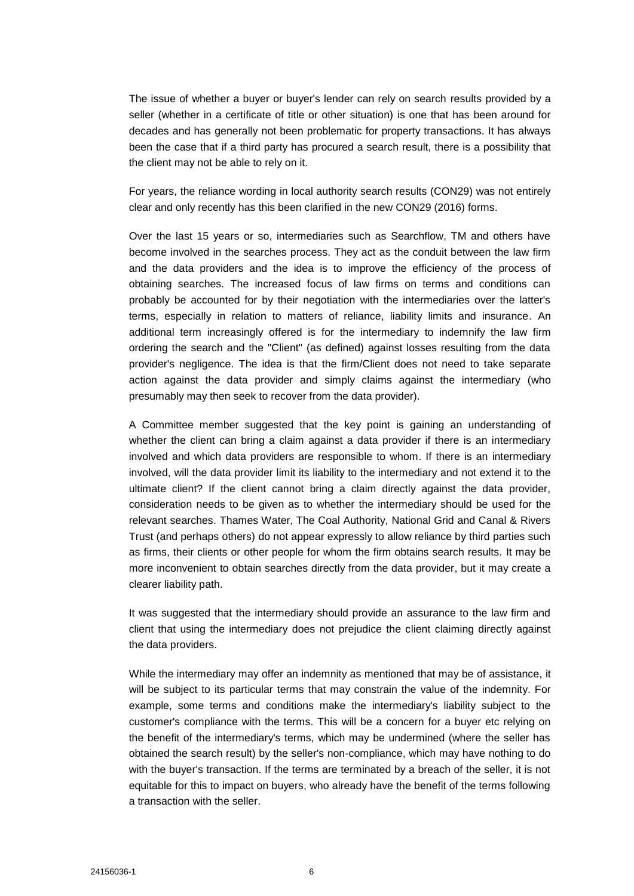The issue of whether a buyer or buyer's lender can rely on search results provided by a seller (whether in a certificate of title or other situation) is one that has been around for decades and has generally not been problematic for property transactions. It has always been the case that if a third party has procured a search result, there is a possibility that the client may not be able to rely on it.

For years, the reliance wording in local authority search results (CON29) was not entirely clear and only recently has this been clarified in the new CON29 (2016) forms.

Over the last 15 years or so, intermediaries such as Searchflow, TM and others have become involved in the searches process. They act as the conduit between the law firm and the data providers and the idea is to improve the efficiency of the process of obtaining searches. The increased focus of law firms on terms and conditions can probably be accounted for by their negotiation with the intermediaries over the latter's terms, especially in relation to matters of reliance, liability limits and insurance. An additional term increasingly offered is for the intermediary to indemnify the law firm ordering the search and the "Client" (as defined) against losses resulting from the data provider's negligence. The idea is that the firm/Client does not need to take separate action against the data provider and simply claims against the intermediary (who presumably may then seek to recover from the data provider).

A Committee member suggested that the key point is gaining an understanding of whether the client can bring a claim against a data provider if there is an intermediary involved and which data providers are responsible to whom. If there is an intermediary involved, will the data provider limit its liability to the intermediary and not extend it to the ultimate client? If the client cannot bring a claim directly against the data provider, consideration needs to be given as to whether the intermediary should be used for the relevant searches. Thames Water, The Coal Authority, National Grid and Canal & Rivers Trust (and perhaps others) do not appear expressly to allow reliance by third parties such as firms, their clients or other people for whom the firm obtains search results. It may be more inconvenient to obtain searches directly from the data provider, but it may create a clearer liability path.

It was suggested that the intermediary should provide an assurance to the law firm and client that using the intermediary does not prejudice the client claiming directly against the data providers.

While the intermediary may offer an indemnity as mentioned that may be of assistance, it will be subject to its particular terms that may constrain the value of the indemnity. For example, some terms and conditions make the intermediary's liability subject to the customer's compliance with the terms. This will be a concern for a buyer etc relying on the benefit of the intermediary's terms, which may be undermined (where the seller has obtained the search result) by the seller's non-compliance, which may have nothing to do with the buyer's transaction. If the terms are terminated by a breach of the seller, it is not equitable for this to impact on buyers, who already have the benefit of the terms following a transaction with the seller.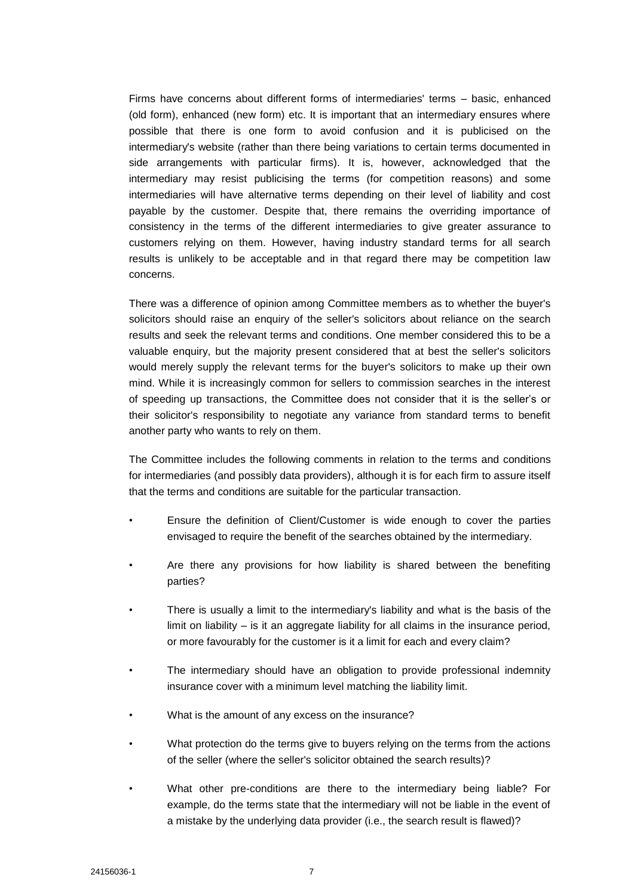Firms have concerns about different forms of intermediaries' terms – basic, enhanced (old form), enhanced (new form) etc. It is important that an intermediary ensures where possible that there is one form to avoid confusion and it is publicised on the intermediary's website (rather than there being variations to certain terms documented in side arrangements with particular firms). It is, however, acknowledged that the intermediary may resist publicising the terms (for competition reasons) and some intermediaries will have alternative terms depending on their level of liability and cost payable by the customer. Despite that, there remains the overriding importance of consistency in the terms of the different intermediaries to give greater assurance to customers relying on them. However, having industry standard terms for all search results is unlikely to be acceptable and in that regard there may be competition law concerns.

There was a difference of opinion among Committee members as to whether the buyer's solicitors should raise an enquiry of the seller's solicitors about reliance on the search results and seek the relevant terms and conditions. One member considered this to be a valuable enquiry, but the majority present considered that at best the seller's solicitors would merely supply the relevant terms for the buyer's solicitors to make up their own mind. While it is increasingly common for sellers to commission searches in the interest of speeding up transactions, the Committee does not consider that it is the seller's or their solicitor's responsibility to negotiate any variance from standard terms to benefit another party who wants to rely on them.

The Committee includes the following comments in relation to the terms and conditions for intermediaries (and possibly data providers), although it is for each firm to assure itself that the terms and conditions are suitable for the particular transaction.

- Ensure the definition of Client/Customer is wide enough to cover the parties envisaged to require the benefit of the searches obtained by the intermediary.
- Are there any provisions for how liability is shared between the benefiting parties?
- There is usually a limit to the intermediary's liability and what is the basis of the limit on liability  $-$  is it an aggregate liability for all claims in the insurance period, or more favourably for the customer is it a limit for each and every claim?
- The intermediary should have an obligation to provide professional indemnity insurance cover with a minimum level matching the liability limit.
- What is the amount of any excess on the insurance?
- What protection do the terms give to buyers relying on the terms from the actions of the seller (where the seller's solicitor obtained the search results)?
- What other pre-conditions are there to the intermediary being liable? For example, do the terms state that the intermediary will not be liable in the event of a mistake by the underlying data provider (i.e., the search result is flawed)?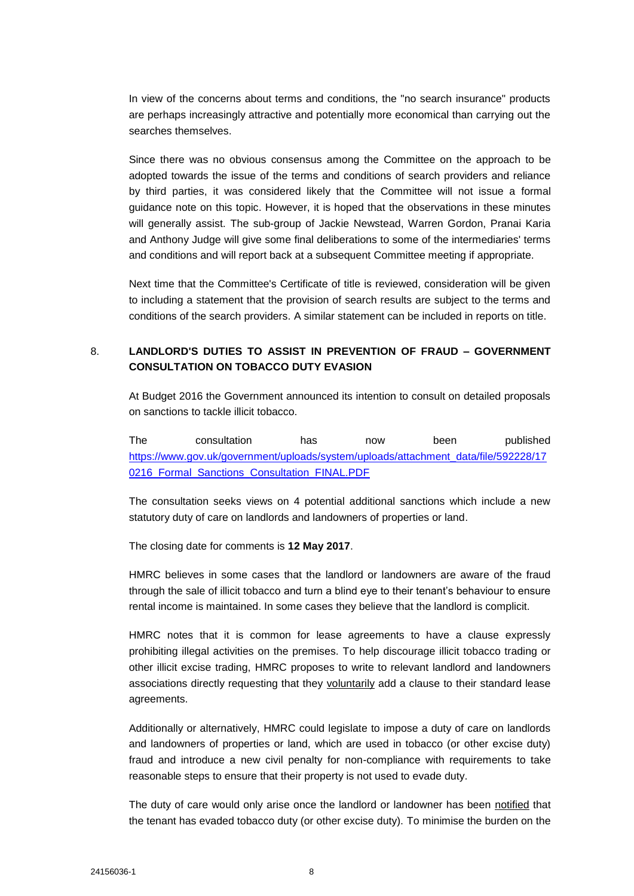In view of the concerns about terms and conditions, the "no search insurance" products are perhaps increasingly attractive and potentially more economical than carrying out the searches themselves.

Since there was no obvious consensus among the Committee on the approach to be adopted towards the issue of the terms and conditions of search providers and reliance by third parties, it was considered likely that the Committee will not issue a formal guidance note on this topic. However, it is hoped that the observations in these minutes will generally assist. The sub-group of Jackie Newstead, Warren Gordon, Pranai Karia and Anthony Judge will give some final deliberations to some of the intermediaries' terms and conditions and will report back at a subsequent Committee meeting if appropriate.

Next time that the Committee's Certificate of title is reviewed, consideration will be given to including a statement that the provision of search results are subject to the terms and conditions of the search providers. A similar statement can be included in reports on title.

# 8. **LANDLORD'S DUTIES TO ASSIST IN PREVENTION OF FRAUD – GOVERNMENT CONSULTATION ON TOBACCO DUTY EVASION**

At Budget 2016 the Government announced its intention to consult on detailed proposals on sanctions to tackle illicit tobacco.

The consultation has now been published [https://www.gov.uk/government/uploads/system/uploads/attachment\\_data/file/592228/17](https://www.gov.uk/government/uploads/system/uploads/attachment_data/file/592228/170216_Formal_Sanctions_Consultation_FINAL.PDF) 0216 Formal Sanctions Consultation FINAL.PDF

The consultation seeks views on 4 potential additional sanctions which include a new statutory duty of care on landlords and landowners of properties or land.

The closing date for comments is **12 May 2017**.

HMRC believes in some cases that the landlord or landowners are aware of the fraud through the sale of illicit tobacco and turn a blind eye to their tenant's behaviour to ensure rental income is maintained. In some cases they believe that the landlord is complicit.

HMRC notes that it is common for lease agreements to have a clause expressly prohibiting illegal activities on the premises. To help discourage illicit tobacco trading or other illicit excise trading, HMRC proposes to write to relevant landlord and landowners associations directly requesting that they voluntarily add a clause to their standard lease agreements.

Additionally or alternatively, HMRC could legislate to impose a duty of care on landlords and landowners of properties or land, which are used in tobacco (or other excise duty) fraud and introduce a new civil penalty for non-compliance with requirements to take reasonable steps to ensure that their property is not used to evade duty.

The duty of care would only arise once the landlord or landowner has been notified that the tenant has evaded tobacco duty (or other excise duty). To minimise the burden on the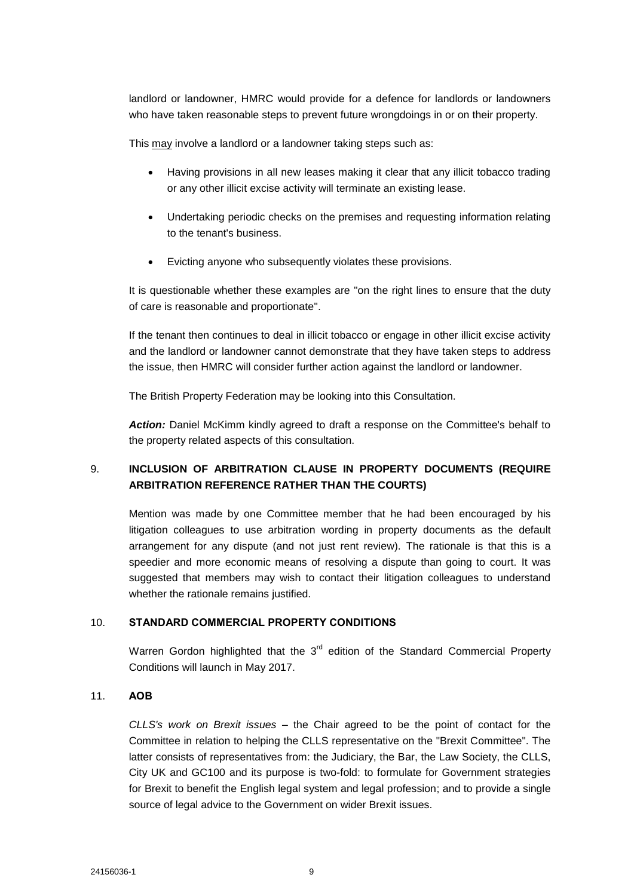landlord or landowner, HMRC would provide for a defence for landlords or landowners who have taken reasonable steps to prevent future wrongdoings in or on their property.

This may involve a landlord or a landowner taking steps such as:

- Having provisions in all new leases making it clear that any illicit tobacco trading or any other illicit excise activity will terminate an existing lease.
- Undertaking periodic checks on the premises and requesting information relating to the tenant's business.
- Evicting anyone who subsequently violates these provisions.

It is questionable whether these examples are "on the right lines to ensure that the duty of care is reasonable and proportionate".

If the tenant then continues to deal in illicit tobacco or engage in other illicit excise activity and the landlord or landowner cannot demonstrate that they have taken steps to address the issue, then HMRC will consider further action against the landlord or landowner.

The British Property Federation may be looking into this Consultation.

*Action:* Daniel McKimm kindly agreed to draft a response on the Committee's behalf to the property related aspects of this consultation.

# 9. **INCLUSION OF ARBITRATION CLAUSE IN PROPERTY DOCUMENTS (REQUIRE ARBITRATION REFERENCE RATHER THAN THE COURTS)**

Mention was made by one Committee member that he had been encouraged by his litigation colleagues to use arbitration wording in property documents as the default arrangement for any dispute (and not just rent review). The rationale is that this is a speedier and more economic means of resolving a dispute than going to court. It was suggested that members may wish to contact their litigation colleagues to understand whether the rationale remains justified.

## 10. **STANDARD COMMERCIAL PROPERTY CONDITIONS**

Warren Gordon highlighted that the  $3<sup>rd</sup>$  edition of the Standard Commercial Property Conditions will launch in May 2017.

### 11. **AOB**

*CLLS's work on Brexit issues* – the Chair agreed to be the point of contact for the Committee in relation to helping the CLLS representative on the "Brexit Committee". The latter consists of representatives from: the Judiciary, the Bar, the Law Society, the CLLS, City UK and GC100 and its purpose is two-fold: to formulate for Government strategies for Brexit to benefit the English legal system and legal profession; and to provide a single source of legal advice to the Government on wider Brexit issues.